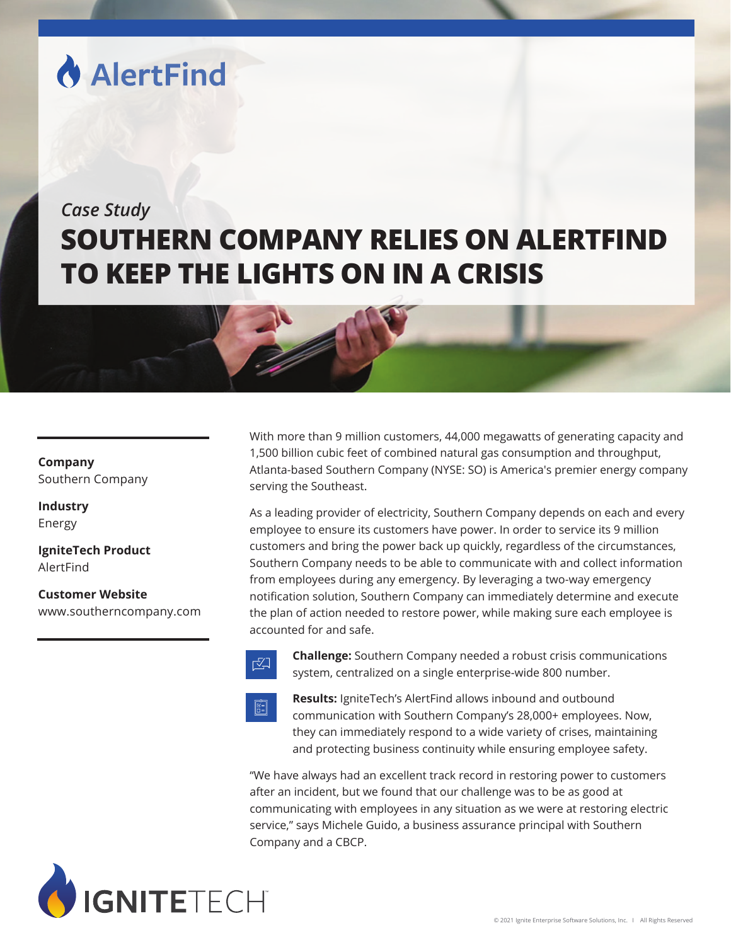# **AlertFind**

## *Case Study* **SOUTHERN COMPANY RELIES ON ALERTFIND TO KEEP THE LIGHTS ON IN A CRISIS**

### **Company** Southern Company

**Industry** Energy

**IgniteTech Product** AlertFind

**Customer Website** www.southerncompany.com

With more than 9 million customers, 44,000 megawatts of generating capacity and 1,500 billion cubic feet of combined natural gas consumption and throughput, Atlanta-based Southern Company (NYSE: SO) is America's premier energy company serving the Southeast.

As a leading provider of electricity, Southern Company depends on each and every employee to ensure its customers have power. In order to service its 9 million customers and bring the power back up quickly, regardless of the circumstances, Southern Company needs to be able to communicate with and collect information from employees during any emergency. By leveraging a two-way emergency notification solution, Southern Company can immediately determine and execute the plan of action needed to restore power, while making sure each employee is accounted for and safe.



**Challenge:** Southern Company needed a robust crisis communications  $\mathbb{Z}$  system, centralized on a single enterprise-wide 800 number.



**Results:** IgniteTech's AlertFind allows inbound and outbound **Communication with Southern Company's 28,000+ employees. Now,**  they can immediately respond to a wide variety of crises, maintaining and protecting business continuity while ensuring employee safety.

"We have always had an excellent track record in restoring power to customers after an incident, but we found that our challenge was to be as good at communicating with employees in any situation as we were at restoring electric service," says Michele Guido, a business assurance principal with Southern Company and a CBCP.

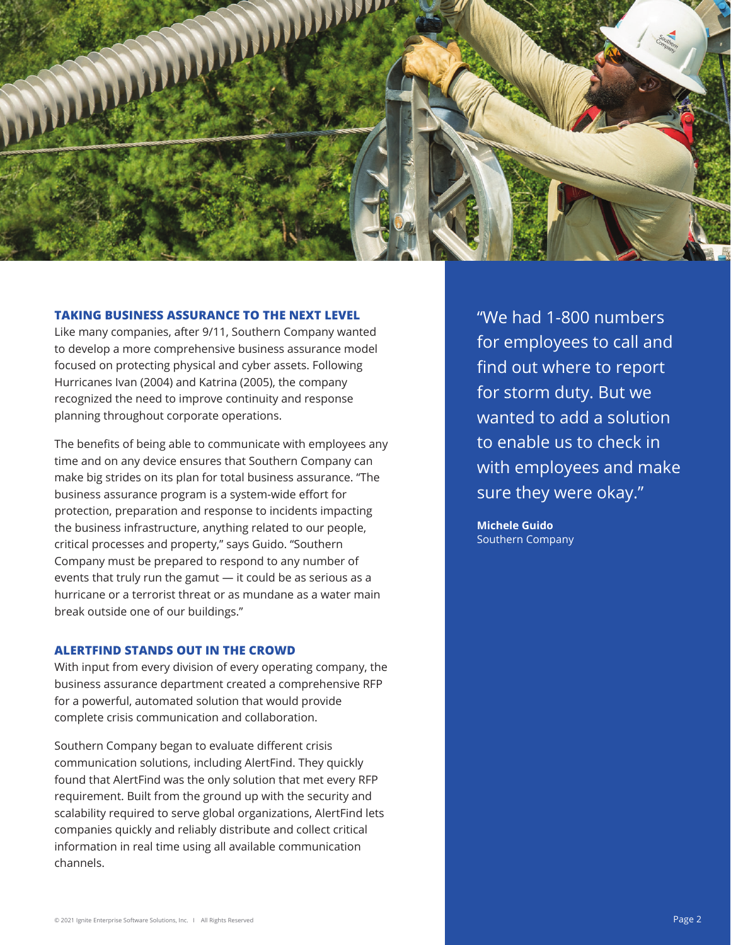

#### **TAKING BUSINESS ASSURANCE TO THE NEXT LEVEL**

Like many companies, after 9/11, Southern Company wanted to develop a more comprehensive business assurance model focused on protecting physical and cyber assets. Following Hurricanes Ivan (2004) and Katrina (2005), the company recognized the need to improve continuity and response planning throughout corporate operations.

The benefits of being able to communicate with employees any time and on any device ensures that Southern Company can make big strides on its plan for total business assurance. "The business assurance program is a system-wide effort for protection, preparation and response to incidents impacting the business infrastructure, anything related to our people, critical processes and property," says Guido. "Southern Company must be prepared to respond to any number of events that truly run the gamut — it could be as serious as a hurricane or a terrorist threat or as mundane as a water main break outside one of our buildings."

#### **ALERTFIND STANDS OUT IN THE CROWD**

With input from every division of every operating company, the business assurance department created a comprehensive RFP for a powerful, automated solution that would provide complete crisis communication and collaboration.

Southern Company began to evaluate different crisis communication solutions, including AlertFind. They quickly found that AlertFind was the only solution that met every RFP requirement. Built from the ground up with the security and scalability required to serve global organizations, AlertFind lets companies quickly and reliably distribute and collect critical information in real time using all available communication channels.

"We had 1-800 numbers for employees to call and find out where to report for storm duty. But we wanted to add a solution to enable us to check in with employees and make sure they were okay."

**Michele Guido** Southern Company